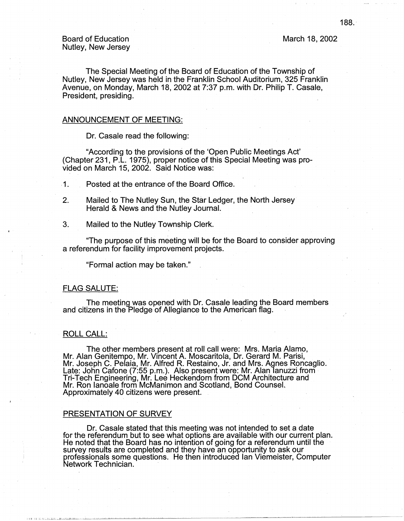The Special Meeting of the Board of Education of the Township of Nutley, New Jersey was held in the Franklin School Auditorium, 325 Franklin Avenue, on Monday, March 18, 2002 at 7:37 p.m. with Dr. Philip T. Casale, President, presiding.

## ANNOUNCEMENT OF MEETING:

Dr. Casale read the following:

"According to the provisions of the 'Open Public Meetings Act' (Chapter 231, P.L. 1975), proper notice of this Special Meeting was provided on March 15, 2002. Said Notice was:

.1. Posted at the entrance of the Board Office.

- 2. Mailed to The Nutley Sun, the Star Ledger, the North Jersey Herald & News and the Nutley Journal.
- 3. Mailed to the Nutley Township Clerk.

"The purpose of this meeting will be for the Board to consider approving a referendum for facility improvement projects.

"Formal action may be taken."

# FLAG SALUTE:

The meeting was opened with Dr. Casale leading the Board members and citizens in the Pledge of Allegiance to the American flag. ·

# ROLL CALL:

1111 'Ill 1,\_:lll.~.ii[\_,\_:\_L..\_:;JL1:..U.:\_\_ \_\_\_\_ \_l\_\_j\_\_.,...J. .......

The other members present at roll call were: Mrs. Maria Alamo, Mr. Alan Genitempo, Mr. Vincent A. Moscaritola, Dr. Gerard M. Parisi, Mr. Joseph C. Pelaia, Mr. Alfred R. Restaino, Jr. and Mrs. Agnes Roncaglio. Late: John Catone (7:55 p.m.). Also present were: Mr. Alan lanuzzi from Tri-Tech Engineering, Mr. Lee Heckendorn from DCM Architecture and Mr. Ron lanoale from McManimon and Scotland, Bond Counsel. Approximately 40 citizens were present.

#### PRESENTATION OF SURVEY

Dr. Casale stated that this meeting was not intended to set a date for the referendum but to see what options are available with our current plan. He noted that the Board has no intention of going for a referendum until the survey results are completed and they have an opportunity to ask our professionals some questions. He then introduced Ian Viemeister, Computer Network Technician.

March 18, 2002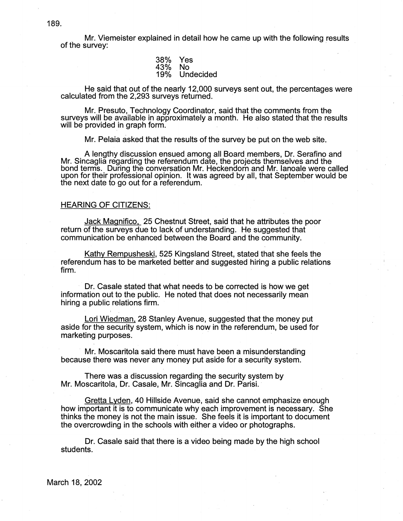Mr. Viemeister explained in detail how he came up with the following results of the survey:

| 38% | Yes       |
|-----|-----------|
| 43% | No        |
| 19% | Undecided |
|     |           |

He said that out of the nearly 12,000 surveys sent out, the percentages were calculated from the 2,293 surveys returned.

Mr. Presuto, Technology Coordinator, said that the comments from the surveys will be available in approximately a month. He also stated that the results will be provided in graph form.

Mr. Pelaia asked that the results of the survey be put on the web site.

A lengthy discussion ensued among all Board members, Dr. Serafino and Mr. Sincaglia regarding the referendum date, the projects themselves and the bond terms. During the conversation Mr. Heckendorn and Mr. lanoale were called upon for their professional opinion. It was agreed by all, that September would be the next date to go out for a referendum.

### HEARING OF CITIZENS:

Jack Magnifico. 25 Chestnut Street, said that he attributes the poor return of the surveys due to lack of understanding. He suggested that communication be enhanced between the Board and the community.

Kathy Rempusheski, 525 Kingsland Street, stated that she feels the referendum has to be marketed better and suggested hiring a public relations firm.

Dr. Casale stated that what needs to be corrected is how we get information out to the public. He noted that does not necessarily mean hiring a public relations firm.

Lori Wiedman. 28 Stanley Avenue, suggested that the money put aside for the security system, which is now in the referendum, be used for marketing purposes.

Mr. Moscaritola said there must have been a misunderstanding because there was never any money put aside for a security system.

There was a discussion regarding the security system by Mr. Moscaritola, Dr. Casale, Mr. Sincaglia and Dr. Parisi.

Gretta Lyden, 40 Hillside Avenue, said she cannot emphasize enough how important it is to communicate why each improvement is necessary. She thinks the money is not the main issue. She feels it is important to document the overcrowding in the schools with either a video or photographs.

Dr. Casale said that there is a video being made by the high school students.

March 18, 2002

189.